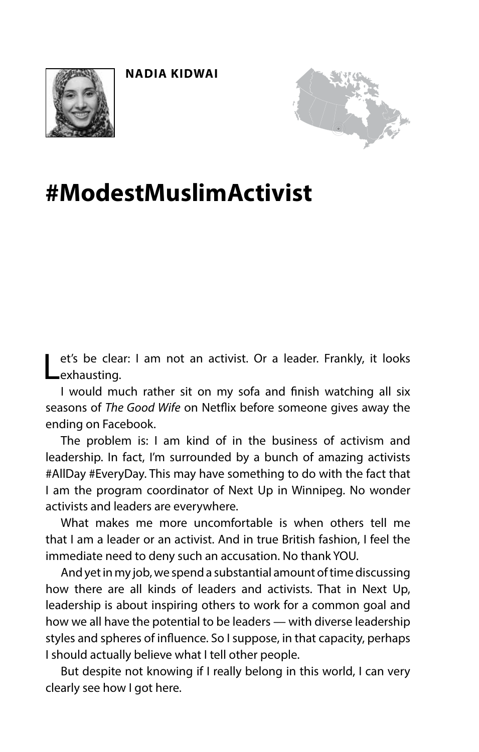



## **#ModestMuslimActivist**

et's be clear: I am not an activist. Or a leader. Frankly, it looks exhausting.

I would much rather sit on my sofa and fnish watching all six seasons of *The Good Wife* on Netfix before someone gives away the ending on Facebook.

The problem is: I am kind of in the business of activism and leadership. In fact, I'm surrounded by a bunch of amazing activists #AllDay #EveryDay. This may have something to do with the fact that I am the program coordinator of Next Up in Winnipeg. No wonder activists and leaders are everywhere.

What makes me more uncomfortable is when others tell me that I am a leader or an activist. And in true British fashion, I feel the immediate need to deny such an accusation. No thank YOU.

And yet in my job, we spend a substantial amount of time discussing how there are all kinds of leaders and activists. That in Next Up, leadership is about inspiring others to work for a common goal and how we all have the potential to be leaders — with diverse leadership styles and spheres of infuence. So I suppose, in that capacity, perhaps I should actually believe what I tell other people.

But despite not knowing if I really belong in this world, I can very clearly see how I got here.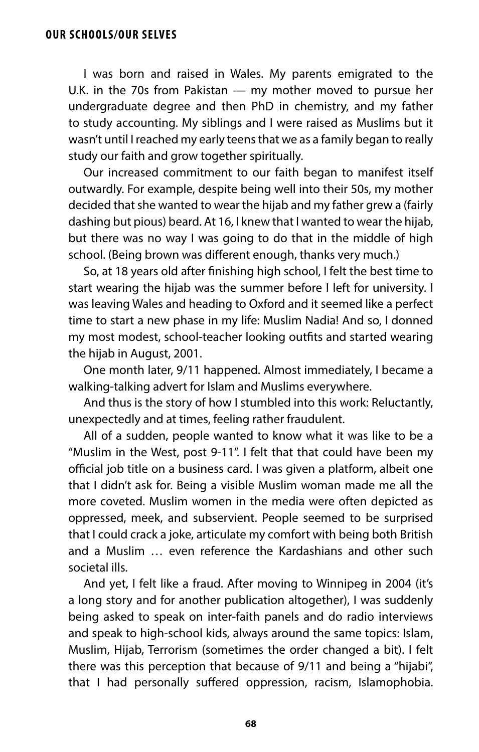I was born and raised in Wales. My parents emigrated to the U.K. in the 70s from Pakistan — my mother moved to pursue her undergraduate degree and then PhD in chemistry, and my father to study accounting. My siblings and I were raised as Muslims but it wasn't until I reached my early teens that we as a family began to really study our faith and grow together spiritually.

Our increased commitment to our faith began to manifest itself outwardly. For example, despite being well into their 50s, my mother decided that she wanted to wear the hijab and my father grew a (fairly dashing but pious) beard. At 16, I knew that I wanted to wear the hijab, but there was no way I was going to do that in the middle of high school. (Being brown was diferent enough, thanks very much.)

So, at 18 years old after fnishing high school, I felt the best time to start wearing the hijab was the summer before I left for university. I was leaving Wales and heading to Oxford and it seemed like a perfect time to start a new phase in my life: Muslim Nadia! And so, I donned my most modest, school-teacher looking outfts and started wearing the hijab in August, 2001.

One month later, 9/11 happened. Almost immediately, I became a walking-talking advert for Islam and Muslims everywhere.

And thus is the story of how I stumbled into this work: Reluctantly, unexpectedly and at times, feeling rather fraudulent.

All of a sudden, people wanted to know what it was like to be a "Muslim in the West, post 9-11". I felt that that could have been my official job title on a business card. I was given a platform, albeit one that I didn't ask for. Being a visible Muslim woman made me all the more coveted. Muslim women in the media were often depicted as oppressed, meek, and subservient. People seemed to be surprised that I could crack a joke, articulate my comfort with being both British and a Muslim … even reference the Kardashians and other such societal ills.

And yet, I felt like a fraud. After moving to Winnipeg in 2004 (it's a long story and for another publication altogether), I was suddenly being asked to speak on inter-faith panels and do radio interviews and speak to high-school kids, always around the same topics: Islam, Muslim, Hijab, Terrorism (sometimes the order changed a bit). I felt there was this perception that because of 9/11 and being a "hijabi", that I had personally suffered oppression, racism, Islamophobia.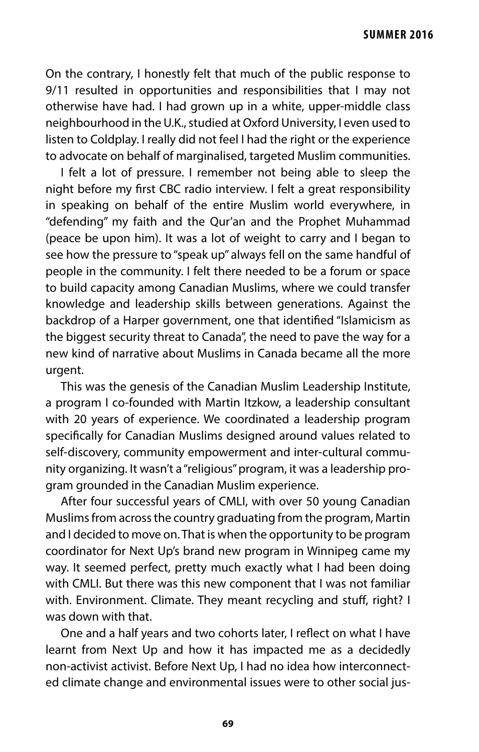On the contrary, I honestly felt that much of the public response to 9/11 resulted in opportunities and responsibilities that I may not otherwise have had. I had grown up in a white, upper-middle class neighbourhood in the U.K., studied at Oxford University, I even used to listen to Coldplay. I really did not feel I had the right or the experience to advocate on behalf of marginalised, targeted Muslim communities.

I felt a lot of pressure. I remember not being able to sleep the night before my frst CBC radio interview. I felt a great responsibility in speaking on behalf of the entire Muslim world everywhere, in "defending" my faith and the Qur'an and the Prophet Muhammad (peace be upon him). It was a lot of weight to carry and I began to see how the pressure to "speak up" always fell on the same handful of people in the community. I felt there needed to be a forum or space to build capacity among Canadian Muslims, where we could transfer knowledge and leadership skills between generations. Against the backdrop of a Harper government, one that identifed "Islamicism as the biggest security threat to Canada", the need to pave the way for a new kind of narrative about Muslims in Canada became all the more urgent.

This was the genesis of the Canadian Muslim Leadership Institute, a program I co-founded with Martin Itzkow, a leadership consultant with 20 years of experience. We coordinated a leadership program specifcally for Canadian Muslims designed around values related to self-discovery, community empowerment and inter-cultural community organizing. It wasn't a "religious" program, it was a leadership program grounded in the Canadian Muslim experience.

After four successful years of CMLI, with over 50 young Canadian Muslims from across the country graduating from the program, Martin and I decided to move on. That is when the opportunity to be program coordinator for Next Up's brand new program in Winnipeg came my way. It seemed perfect, pretty much exactly what I had been doing with CMLI. But there was this new component that I was not familiar with. Environment. Climate. They meant recycling and stuff, right? I was down with that.

One and a half years and two cohorts later, I refect on what I have learnt from Next Up and how it has impacted me as a decidedly non-activist activist. Before Next Up, I had no idea how interconnected climate change and environmental issues were to other social jus-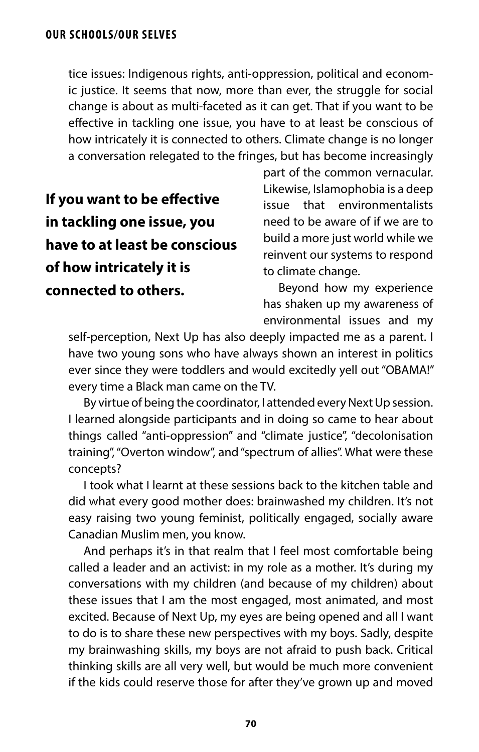tice issues: Indigenous rights, anti-oppression, political and economic justice. It seems that now, more than ever, the struggle for social change is about as multi-faceted as it can get. That if you want to be efective in tackling one issue, you have to at least be conscious of how intricately it is connected to others. Climate change is no longer a conversation relegated to the fringes, but has become increasingly

**If you want to be efective in tackling one issue, you have to at least be conscious of how intricately it is connected to others.**

part of the common vernacular. Likewise, Islamophobia is a deep issue that environmentalists need to be aware of if we are to build a more just world while we reinvent our systems to respond to climate change.

Beyond how my experience has shaken up my awareness of environmental issues and my

self-perception, Next Up has also deeply impacted me as a parent. I have two young sons who have always shown an interest in politics ever since they were toddlers and would excitedly yell out "OBAMA!" every time a Black man came on the TV.

By virtue of being the coordinator, I attended every Next Up session. I learned alongside participants and in doing so came to hear about things called "anti-oppression" and "climate justice", "decolonisation training", "Overton window", and "spectrum of allies". What were these concepts?

I took what I learnt at these sessions back to the kitchen table and did what every good mother does: brainwashed my children. It's not easy raising two young feminist, politically engaged, socially aware Canadian Muslim men, you know.

And perhaps it's in that realm that I feel most comfortable being called a leader and an activist: in my role as a mother. It's during my conversations with my children (and because of my children) about these issues that I am the most engaged, most animated, and most excited. Because of Next Up, my eyes are being opened and all I want to do is to share these new perspectives with my boys. Sadly, despite my brainwashing skills, my boys are not afraid to push back. Critical thinking skills are all very well, but would be much more convenient if the kids could reserve those for after they've grown up and moved